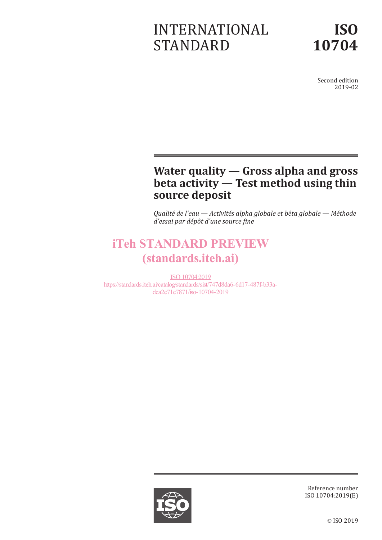# INTERNATIONAL STANDARD

Second edition 2019-02

### **Water quality — Gross alpha and gross beta activity — Test method using thin source deposit**

*Qualité de l'eau — Activités alpha globale et bêta globale — Méthode d'essai par dépôt d'une source fine*

## iTeh STANDARD PREVIEW (standards.iteh.ai)

ISO 10704:2019 https://standards.iteh.ai/catalog/standards/sist/747d8da6-6d17-487f-b33adea2e71e7871/iso-10704-2019



Reference number ISO 10704:2019(E)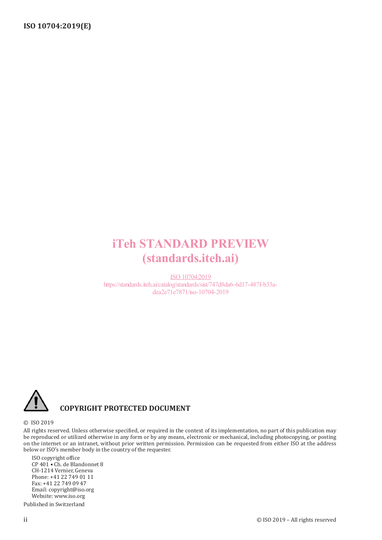## iTeh STANDARD PREVIEW (standards.iteh.ai)

ISO 10704:2019 https://standards.iteh.ai/catalog/standards/sist/747d8da6-6d17-487f-b33adea2e71e7871/iso-10704-2019



#### **COPYRIGHT PROTECTED DOCUMENT**

#### © ISO 2019

All rights reserved. Unless otherwise specified, or required in the context of its implementation, no part of this publication may be reproduced or utilized otherwise in any form or by any means, electronic or mechanical, including photocopying, or posting on the internet or an intranet, without prior written permission. Permission can be requested from either ISO at the address below or ISO's member body in the country of the requester.

ISO copyright office CP 401 • Ch. de Blandonnet 8 CH-1214 Vernier, Geneva Phone: +41 22 749 01 11 Fax: +41 22 749 09 47 Email: copyright@iso.org Website: www.iso.org

Published in Switzerland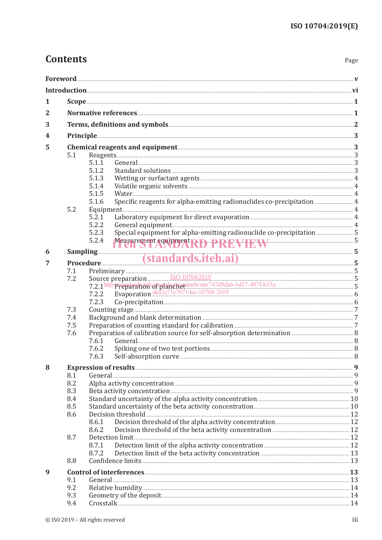### **Contents**

| 1 |     |                                                                                                                                                                                                                                              |  |  |  |
|---|-----|----------------------------------------------------------------------------------------------------------------------------------------------------------------------------------------------------------------------------------------------|--|--|--|
| 2 |     |                                                                                                                                                                                                                                              |  |  |  |
| 3 |     |                                                                                                                                                                                                                                              |  |  |  |
|   |     |                                                                                                                                                                                                                                              |  |  |  |
| 4 |     |                                                                                                                                                                                                                                              |  |  |  |
| 5 |     | Chemical reagents and equipment 3                                                                                                                                                                                                            |  |  |  |
|   | 5.1 | 5.1.1                                                                                                                                                                                                                                        |  |  |  |
|   |     | 5.1.2                                                                                                                                                                                                                                        |  |  |  |
|   |     | 5.1.3                                                                                                                                                                                                                                        |  |  |  |
|   |     | 5.1.4                                                                                                                                                                                                                                        |  |  |  |
|   |     | 5.1.5                                                                                                                                                                                                                                        |  |  |  |
|   |     | Specific reagents for alpha-emitting radionuclides co-precipitation 4<br>5.1.6                                                                                                                                                               |  |  |  |
|   | 5.2 |                                                                                                                                                                                                                                              |  |  |  |
|   |     | 5.2.1                                                                                                                                                                                                                                        |  |  |  |
|   |     | 5.2.2                                                                                                                                                                                                                                        |  |  |  |
|   |     | Special equipment for alpha-emitting radionuclide co-precipitation  5<br>5.2.3                                                                                                                                                               |  |  |  |
|   |     | 5.2.4                                                                                                                                                                                                                                        |  |  |  |
|   |     | Measurement equipment RD PREVIEW EW 35                                                                                                                                                                                                       |  |  |  |
| 6 |     | Sampling Cancel Contract Contract Contract Contract Contract Contract Contract Contract Contract Contract Contract Contract Contract Contract Contract Contract Contract Contract Contract Contract Contract Contract Contract               |  |  |  |
| 7 |     |                                                                                                                                                                                                                                              |  |  |  |
|   | 7.1 | Preliminary<br>Source preparation<br><u>ISO 10704:2019</u><br>7.2.1 <sup>httpsp</sup> reparation of plane Herdards/sti/747d8da6-6d17-487f-b33a-<br>5<br>7.2.2 Evaporation dealer1le7871/iso-10704-2019<br>6<br>6<br>6<br>7.2.2 Convenitation |  |  |  |
|   | 7.2 |                                                                                                                                                                                                                                              |  |  |  |
|   |     |                                                                                                                                                                                                                                              |  |  |  |
|   |     |                                                                                                                                                                                                                                              |  |  |  |
|   |     | 7.2.3                                                                                                                                                                                                                                        |  |  |  |
|   | 7.3 |                                                                                                                                                                                                                                              |  |  |  |
|   | 7.4 |                                                                                                                                                                                                                                              |  |  |  |
|   | 7.5 |                                                                                                                                                                                                                                              |  |  |  |
|   | 7.6 |                                                                                                                                                                                                                                              |  |  |  |
|   |     | 7.6.1                                                                                                                                                                                                                                        |  |  |  |
|   |     | 7.6.2                                                                                                                                                                                                                                        |  |  |  |
|   |     | 7.6.3                                                                                                                                                                                                                                        |  |  |  |
| 8 |     |                                                                                                                                                                                                                                              |  |  |  |
|   | 8.1 |                                                                                                                                                                                                                                              |  |  |  |
|   | 8.2 |                                                                                                                                                                                                                                              |  |  |  |
|   | 8.3 |                                                                                                                                                                                                                                              |  |  |  |
|   | 8.4 |                                                                                                                                                                                                                                              |  |  |  |
|   | 8.5 |                                                                                                                                                                                                                                              |  |  |  |
|   | 8.6 |                                                                                                                                                                                                                                              |  |  |  |
|   |     | 8.6.1                                                                                                                                                                                                                                        |  |  |  |
|   |     | 8.6.2                                                                                                                                                                                                                                        |  |  |  |
|   | 8.7 |                                                                                                                                                                                                                                              |  |  |  |
|   |     | 8.7.1                                                                                                                                                                                                                                        |  |  |  |
|   |     | 8.7.2                                                                                                                                                                                                                                        |  |  |  |
|   | 8.8 |                                                                                                                                                                                                                                              |  |  |  |
| 9 |     |                                                                                                                                                                                                                                              |  |  |  |
|   | 9.1 |                                                                                                                                                                                                                                              |  |  |  |
|   | 9.2 |                                                                                                                                                                                                                                              |  |  |  |
|   | 9.3 |                                                                                                                                                                                                                                              |  |  |  |
|   | 9.4 |                                                                                                                                                                                                                                              |  |  |  |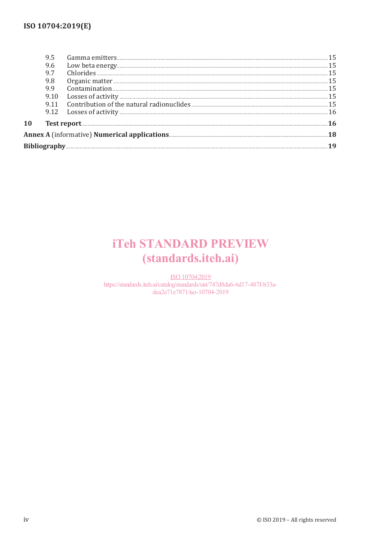|  |  |  | 15  |  |  |
|--|--|--|-----|--|--|
|  |  |  | 15  |  |  |
|  |  |  |     |  |  |
|  |  |  | .15 |  |  |
|  |  |  | 16  |  |  |
|  |  |  |     |  |  |
|  |  |  |     |  |  |
|  |  |  |     |  |  |

## **iTeh STANDARD PREVIEW** (standards.iteh.ai)

ISO 10704:2019 https://standards.iteh.ai/catalog/standards/sist/747d8da6-6d17-487f-b33adea2e71e7871/iso-10704-2019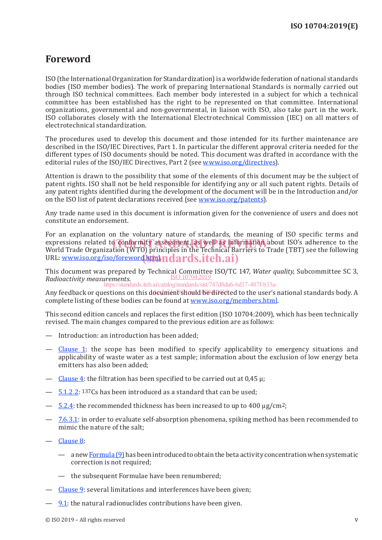### **Foreword**

ISO (the International Organization for Standardization) is a worldwide federation of national standards bodies (ISO member bodies). The work of preparing International Standards is normally carried out through ISO technical committees. Each member body interested in a subject for which a technical committee has been established has the right to be represented on that committee. International organizations, governmental and non-governmental, in liaison with ISO, also take part in the work. ISO collaborates closely with the International Electrotechnical Commission (IEC) on all matters of electrotechnical standardization.

The procedures used to develop this document and those intended for its further maintenance are described in the ISO/IEC Directives, Part 1. In particular the different approval criteria needed for the different types of ISO documents should be noted. This document was drafted in accordance with the editorial rules of the ISO/IEC Directives, Part 2 (see www.iso.org/directives).

Attention is drawn to the possibility that some of the elements of this document may be the subject of patent rights. ISO shall not be held responsible for identifying any or all such patent rights. Details of any patent rights identified during the development of the document will be in the Introduction and/or on the ISO list of patent declarations received (see www.iso.org/patents).

Any trade name used in this document is information given for the convenience of users and does not constitute an endorsement.

For an explanation on the voluntary nature of standards, the meaning of ISO specific terms and expressions related to conformity assessment, as well as information about ISO's adherence to the experience of the following and the Technical Barriers to Trade (TBT) see the following World Trade Organization (WTO) principles in the Technical Barriers to Trade (TBT) see the following URL: <u>www.iso.org/iso/foreword</u>.html.html.html.html

This document was prepared by Technical Committee ISO/TC 147, *Water quality*, Subcommittee SC 3, *Radioactivity measurements*. ISO 10704:2019

https://standards.iteh.ai/catalog/standards/sist/747d8da6-6d17-487f-b33a-

Any feedback or questions on this document should be directed to the user's national standards body. A complete listing of these bodies can be found at www.iso.org/members.html.

This second edition cancels and replaces the first edition (ISO 10704:2009), which has been technically revised. The main changes compared to the previous edition are as follows:

- Introduction: an introduction has been added;
- Clause 1: the scope has been modified to specify applicability to emergency situations and applicability of waste water as a test sample; information about the exclusion of low energy beta emitters has also been added;
- Clause 4: the filtration has been specified to be carried out at 0,45 µ;
- $\frac{5.1.2.2}{2}$ : 137Cs has been introduced as a standard that can be used;
- $-$  5.2.4: the recommended thickness has been increased to up to 400  $\mu$ g/cm<sup>2</sup>;
- 7.6.3.1: in order to evaluate self-absorption phenomena, spiking method has been recommended to mimic the nature of the salt;
- Clause 8:
	- a new Formula (9) has been introduced to obtain the beta activity concentration when systematic correction is not required;
	- the subsequent Formulae have been renumbered;
- Clause 9: several limitations and interferences have been given;
- $-9.1$ : the natural radionuclides contributions have been given.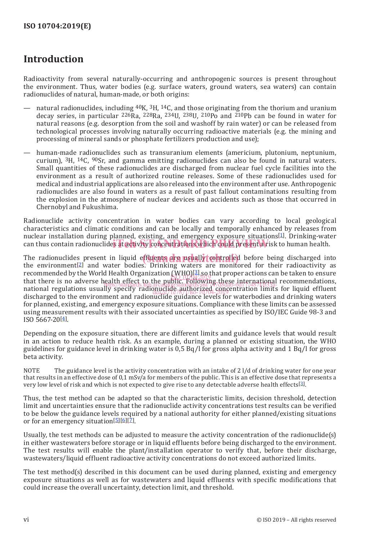### **Introduction**

Radioactivity from several naturally-occurring and anthropogenic sources is present throughout the environment. Thus, water bodies (e.g. surface waters, ground waters, sea waters) can contain radionuclides of natural, human-made, or both origins:

- natural radionuclides, including  $40K$ ,  $3H$ ,  $14C$ , and those originating from the thorium and uranium decay series, in particular 226Ra, 228Ra, 234U, 238U, 210Po and 210Pb can be found in water for natural reasons (e.g. desorption from the soil and washoff by rain water) or can be released from technological processes involving naturally occurring radioactive materials (e.g. the mining and processing of mineral sands or phosphate fertilizers production and use);
- human-made radionuclides such as transuranium elements (americium, plutonium, neptunium, curium), 3H, 14C, 90Sr, and gamma emitting radionuclides can also be found in natural waters. Small quantities of these radionuclides are discharged from nuclear fuel cycle facilities into the environment as a result of authorized routine releases. Some of these radionuclides used for medical and industrial applications are also released into the environment after use. Anthropogenic radionuclides are also found in waters as a result of past fallout contaminations resulting from the explosion in the atmosphere of nuclear devices and accidents such as those that occurred in Chernobyl and Fukushima.

Radionuclide activity concentration in water bodies can vary according to local geological characteristics and climatic conditions and can be locally and temporally enhanced by releases from nuclear installation during planned, existing, and emergency exposure situations[1]. Drinking-water ndelear instantion during plained, existing, and entergency exposure situations... Drinking wat<br>can thus contain radionuclides at activity concentrations which could present a risk to human health.

The radionuclides present in liquid effluents are usually controlled before being discharged into the environment of and water bedies. Drinking waters are maniford for their redioactivity as the environment<sup>[2]</sup> and water bodies. Drinking waters are monitored for their radioactivity as recommended by the World Health Organization (WHO)[3] so that proper actions can be taken to ensure that there is no adverse health effect to the public. Following these international recommendations,<br>that there is no adverse health effect to the pucatalogistandards/sst/ 4/d8da6-6d17-487-b33anational regulations usually specify radionuclide authorized concentration limits for liquid effluent discharged to the environment and radionuclide guidance levels for waterbodies and drinking waters for planned, existing, and emergency exposure situations. Compliance with these limits can be assessed using measurement results with their associated uncertainties as specified by ISO/IEC Guide 98-3 and  $ISO\ 5667-20[4]$ . ISO 10704:2019 leaftir effect to the Dublic. Following these filternational<br>https://standards.iteh.ai/catalog/standards/sist/747d8da6-6d17-487f-b33adea2e71e7871/iso-10704-2019

Depending on the exposure situation, there are different limits and guidance levels that would result in an action to reduce health risk. As an example, during a planned or existing situation, the WHO guidelines for guidance level in drinking water is 0,5 Bq/l for gross alpha activity and 1 Bq/l for gross beta activity.

NOTE The guidance level is the activity concentration with an intake of 2 l/d of drinking water for one year that results in an effective dose of 0,1 mSv/a for members of the public. This is an effective dose that represents a very low level of risk and which is not expected to give rise to any detectable adverse health effects[3].

Thus, the test method can be adapted so that the characteristic limits, decision threshold, detection limit and uncertainties ensure that the radionuclide activity concentrations test results can be verified to be below the guidance levels required by a national authority for either planned/existing situations or for an emergency situation $[5][6][7]$ .

Usually, the test methods can be adjusted to measure the activity concentration of the radionuclide(s) in either wastewaters before storage or in liquid effluents before being discharged to the environment. The test results will enable the plant/installation operator to verify that, before their discharge, wastewaters/liquid effluent radioactive activity concentrations do not exceed authorized limits.

The test method(s) described in this document can be used during planned, existing and emergency exposure situations as well as for wastewaters and liquid effluents with specific modifications that could increase the overall uncertainty, detection limit, and threshold.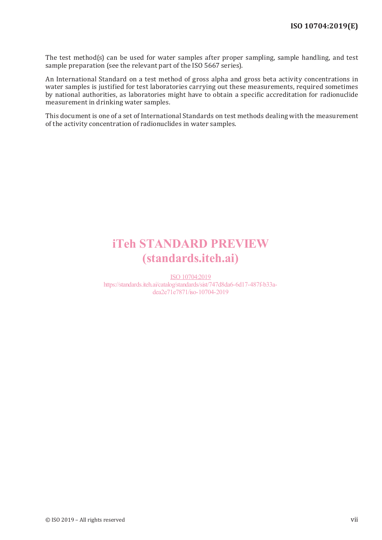The test method(s) can be used for water samples after proper sampling, sample handling, and test sample preparation (see the relevant part of the ISO 5667 series).

An International Standard on a test method of gross alpha and gross beta activity concentrations in water samples is justified for test laboratories carrying out these measurements, required sometimes by national authorities, as laboratories might have to obtain a specific accreditation for radionuclide measurement in drinking water samples.

This document is one of a set of International Standards on test methods dealing with the measurement of the activity concentration of radionuclides in water samples.

## iTeh STANDARD PREVIEW (standards.iteh.ai)

ISO 10704:2019 https://standards.iteh.ai/catalog/standards/sist/747d8da6-6d17-487f-b33adea2e71e7871/iso-10704-2019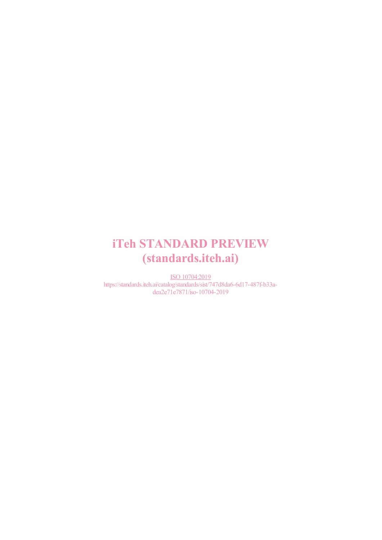## iTeh STANDARD PREVIEW (standards.iteh.ai)

ISO 10704:2019 https://standards.iteh.ai/catalog/standards/sist/747d8da6-6d17-487f-b33adea2e71e7871/iso-10704-2019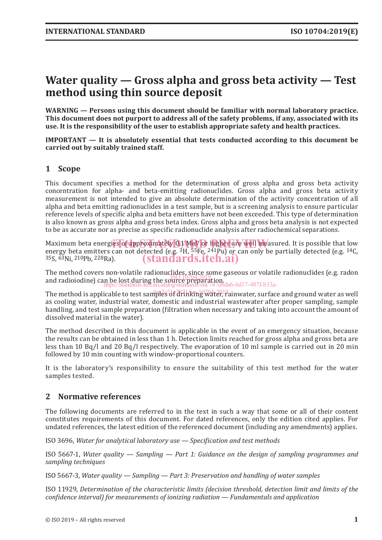### **Water quality — Gross alpha and gross beta activity — Test method using thin source deposit**

**WARNING — Persons using this document should be familiar with normal laboratory practice. This document does not purport to address all of the safety problems, if any, associated with its use. It is the responsibility of the user to establish appropriate safety and health practices.**

**IMPORTANT — It is absolutely essential that tests conducted according to this document be carried out by suitably trained staff.**

#### **1 Scope**

This document specifies a method for the determination of gross alpha and gross beta activity concentration for alpha- and beta-emitting radionuclides. Gross alpha and gross beta activity measurement is not intended to give an absolute determination of the activity concentration of all alpha and beta emitting radionuclides in a test sample, but is a screening analysis to ensure particular reference levels of specific alpha and beta emitters have not been exceeded. This type of determination is also known as gross alpha and gross beta index. Gross alpha and gross beta analysis is not expected to be as accurate nor as precise as specific radionuclide analysis after radiochemical separations.

Maximum beta energies of approximately  $0.1$  MeV or higher are well measured. It is possible that low approximately  $0.14$  MeV or higher are well measured. It is possible that low energy beta emitters can not detected (e.g.  $^{3}H$ ,  $^{55}Fe$ ,  $^{241}Pu$ ) or can only be partially detected (e.g.  $^{14}C$ , 35S, 63Ni, 210Pb, 228Ra). (standards.iteh.ai)

The method covers non-volatile radionuclides, since some gaseous or volatile radionuclides (e.g. radon and radioiodine) can be lost during the source preparation.<br>Indication of the source preparation. https://standards.iteh.ai/catalog/standards/sist/747d8da6-6d17-487f-b33a-

The method is applicable to test samples of drinking water, rainwater, surface and ground water as well as cooling water, industrial water, domestic and industrial wastewater after proper sampling, sample handling, and test sample preparation (filtration when necessary and taking into account the amount of dissolved material in the water).

The method described in this document is applicable in the event of an emergency situation, because the results can be obtained in less than 1 h. Detection limits reached for gross alpha and gross beta are less than 10 Bq/l and 20 Bq/l respectively. The evaporation of 10 ml sample is carried out in 20 min followed by 10 min counting with window-proportional counters.

It is the laboratory's responsibility to ensure the suitability of this test method for the water samples tested.

#### **2 Normative references**

The following documents are referred to in the text in such a way that some or all of their content constitutes requirements of this document. For dated references, only the edition cited applies. For undated references, the latest edition of the referenced document (including any amendments) applies.

ISO 3696, *Water for analytical laboratory use — Specification and test methods*

ISO 5667-1, *Water quality — Sampling — Part 1: Guidance on the design of sampling programmes and sampling techniques*

ISO 5667-3, *Water quality — Sampling — Part 3: Preservation and handling of water samples*

ISO 11929, *Determination of the characteristic limits (decision threshold, detection limit and limits of the confidence interval) for measurements of ionizing radiation — Fundamentals and application*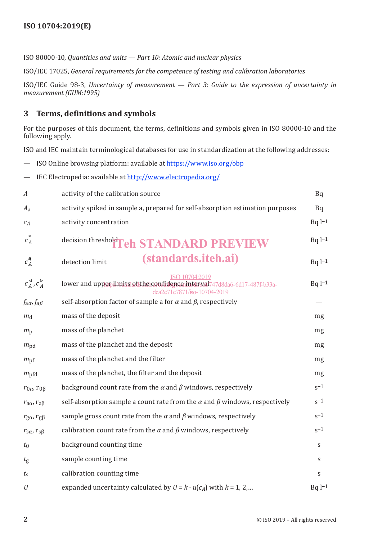ISO 80000-10, *Quantities and units — Part 10: Atomic and nuclear physics*

ISO/IEC 17025, *General requirements for the competence of testing and calibration laboratories*

ISO/IEC Guide 98-3, *Uncertainty of measurement — Part 3: Guide to the expression of uncertainty in measurement (GUM:1995)*

#### **3 Terms, definitions and symbols**

For the purposes of this document, the terms, definitions and symbols given in ISO 80000-10 and the following apply.

ISO and IEC maintain terminological databases for use in standardization at the following addresses:

- ISO Online browsing platform: available at https://www.iso.org/obp
- IEC Electropedia: available at http://www.electropedia.org/

| $\boldsymbol{A}$                               | activity of the calibration source                                                                                          | Bq                              |
|------------------------------------------------|-----------------------------------------------------------------------------------------------------------------------------|---------------------------------|
| $A_{a}$                                        | activity spiked in sample a, prepared for self-absorption estimation purposes                                               | Bq                              |
| $c_A$                                          | activity concentration                                                                                                      | $Bq$ <sup><math>-1</math></sup> |
| $c_A^*$                                        | decision threshold Teh STANDARD PREVIEW                                                                                     | $Bq$ <sup><math>-1</math></sup> |
| $c_A^{\#}$                                     | <i>(standards.iteh.ai)</i><br>detection limit                                                                               | $Bq$ <sup><math>-1</math></sup> |
| $c_A^{\triangleleft}$ , $c_A^{\triangleright}$ | ISO 10704.2019<br>lower and upper limits of the confidence interval 747d8da6-6d17-487f-b33a-<br>dea2e71e7871/iso-10704-2019 | $Bq$ <sup><math>-1</math></sup> |
| $f_{a\alpha}$ , $f_{a\beta}$                   | self-absorption factor of sample a for $\alpha$ and $\beta$ , respectively                                                  |                                 |
| $m_d$                                          | mass of the deposit                                                                                                         | mg                              |
| $m_{\rm p}$                                    | mass of the planchet                                                                                                        | mg                              |
| $m_{\rm pd}$                                   | mass of the planchet and the deposit                                                                                        | mg                              |
| $m_{\rm pf}$                                   | mass of the planchet and the filter                                                                                         | mg                              |
| $m_{\text{pfd}}$                               | mass of the planchet, the filter and the deposit                                                                            | mg                              |
| $r_{0\alpha}$ , $r_{0\beta}$                   | background count rate from the $\alpha$ and $\beta$ windows, respectively                                                   | $S^{-1}$                        |
| $r_{a\alpha}$ , $r_{a\beta}$                   | self-absorption sample a count rate from the $\alpha$ and $\beta$ windows, respectively                                     | $S^{-1}$                        |
| $r_{\text{g}\alpha}$ , $r_{\text{g}\beta}$     | sample gross count rate from the $\alpha$ and $\beta$ windows, respectively                                                 | $S^{-1}$                        |
| $r_{\rm s\alpha},$ $\rm r_{\rm s\beta}$        | calibration count rate from the $\alpha$ and $\beta$ windows, respectively                                                  | $S^{-1}$                        |
| $t_0$                                          | background counting time                                                                                                    | S                               |
| $t_{\rm g}$                                    | sample counting time                                                                                                        | S                               |
| $t_{\rm S}$                                    | calibration counting time                                                                                                   | $\boldsymbol{\mathsf{S}}$       |
| U                                              | expanded uncertainty calculated by $U = k \cdot u(c_A)$ with $k = 1, 2, $                                                   | $Bq$ $l-1$                      |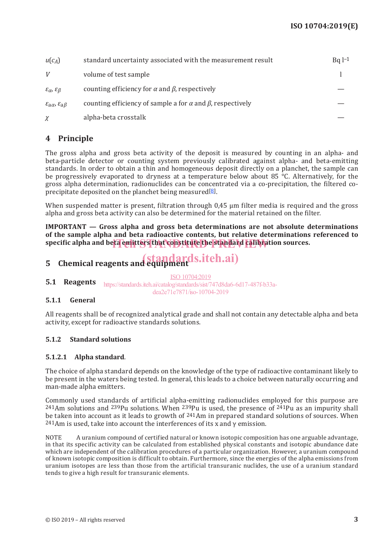| $u(c_A)$                                         | standard uncertainty associated with the measurement result             | $Bq$ $l-1$ |
|--------------------------------------------------|-------------------------------------------------------------------------|------------|
| V                                                | volume of test sample                                                   |            |
| $\varepsilon_{\alpha}$ , $\varepsilon_{\beta}$   | counting efficiency for $\alpha$ and $\beta$ , respectively             |            |
| $\mathcal{E}_{a\alpha}$ , $\mathcal{E}_{a\beta}$ | counting efficiency of sample a for $\alpha$ and $\beta$ , respectively |            |
| $\chi$                                           | alpha-beta crosstalk                                                    |            |

#### **4 Principle**

The gross alpha and gross beta activity of the deposit is measured by counting in an alpha- and beta-particle detector or counting system previously calibrated against alpha- and beta-emitting standards. In order to obtain a thin and homogeneous deposit directly on a planchet, the sample can be progressively evaporated to dryness at a temperature below about 85 °C. Alternatively, for the gross alpha determination, radionuclides can be concentrated via a co-precipitation, the filtered coprecipitate deposited on the planchet being measured $[8]$ .

When suspended matter is present, filtration through 0.45 um filter media is required and the gross alpha and gross beta activity can also be determined for the material retained on the filter.

**IMPORTANT — Gross alpha and gross beta determinations are not absolute determinations of the sample alpha and beta radioactive contents, but relative determinations referenced to**   $\frac{1}{\sqrt{2}}$  **specific alpha and beta emitters that constitute the standard calibration sources.** 

# **5 Chemical reagents and equipment** (standards.iteh.ai)

**5.1 Reagents** https://standards.iteh.ai/catalog/standards/sist/747d8da6-6d17-487f-b33a-ISO 10704:2019 dea2e71e7871/iso-10704-2019

#### **5.1.1 General**

All reagents shall be of recognized analytical grade and shall not contain any detectable alpha and beta activity, except for radioactive standards solutions.

#### **5.1.2 Standard solutions**

#### **5.1.2.1 Alpha standard**.

The choice of alpha standard depends on the knowledge of the type of radioactive contaminant likely to be present in the waters being tested. In general, this leads to a choice between naturally occurring and man-made alpha emitters.

Commonly used standards of artificial alpha-emitting radionuclides employed for this purpose are 241Am solutions and 239Pu solutions. When 239Pu is used, the presence of 241Pu as an impurity shall be taken into account as it leads to growth of 241Am in prepared standard solutions of sources. When 241Am is used, take into account the interferences of its x and  $\gamma$  emission.

NOTE A uranium compound of certified natural or known isotopic composition has one arguable advantage, in that its specific activity can be calculated from established physical constants and isotopic abundance date which are independent of the calibration procedures of a particular organization. However, a uranium compound of known isotopic composition is difficult to obtain. Furthermore, since the energies of the alpha emissions from uranium isotopes are less than those from the artificial transuranic nuclides, the use of a uranium standard tends to give a high result for transuranic elements.